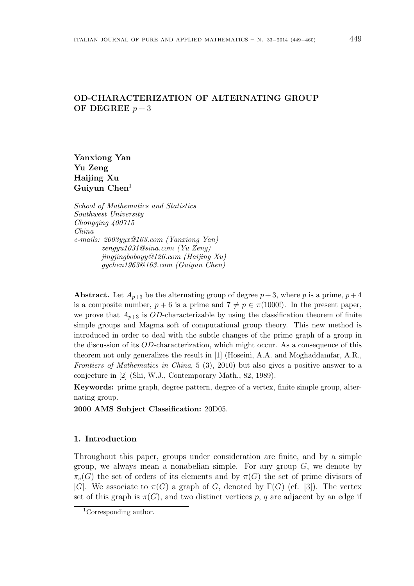# OD-CHARACTERIZATION OF ALTERNATING GROUP OF DEGREE  $p + 3$

Yanxiong Yan Yu Zeng Haijing Xu Guiyun  $Chen<sup>1</sup>$ 

School of Mathematics and Statistics Southwest University Chongqing 400715 China e-mails: 2003yyx@163.com (Yanxiong Yan) zengyu1031@sina.com (Yu Zeng) jingjingboboyy@126.com (Haijing Xu) gychen1963@163.com (Guiyun Chen)

Abstract. Let  $A_{p+3}$  be the alternating group of degree  $p+3$ , where p is a prime,  $p+4$ is a composite number,  $p + 6$  is a prime and  $7 \neq p \in \pi(1000!)$ . In the present paper, we prove that  $A_{p+3}$  is OD-characterizable by using the classification theorem of finite simple groups and Magma soft of computational group theory. This new method is introduced in order to deal with the subtle changes of the prime graph of a group in the discussion of its OD-characterization, which might occur. As a consequence of this theorem not only generalizes the result in [1] (Hoseini, A.A. and Moghaddamfar, A.R., Frontiers of Mathematics in China, 5 (3), 2010) but also gives a positive answer to a conjecture in [2] (Shi, W.J., Contemporary Math., 82, 1989).

Keywords: prime graph, degree pattern, degree of a vertex, finite simple group, alternating group.

2000 AMS Subject Classification: 20D05.

### 1. Introduction

Throughout this paper, groups under consideration are finite, and by a simple group, we always mean a nonabelian simple. For any group  $G$ , we denote by  $\pi_e(G)$  the set of orders of its elements and by  $\pi(G)$  the set of prime divisors of |G|. We associate to  $\pi(G)$  a graph of G, denoted by  $\Gamma(G)$  (cf. [3]). The vertex set of this graph is  $\pi(G)$ , and two distinct vertices p, q are adjacent by an edge if

<sup>1</sup>Corresponding author.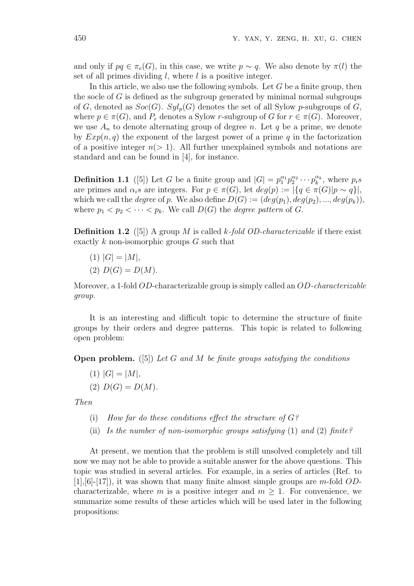and only if  $pq \in \pi_e(G)$ , in this case, we write  $p \sim q$ . We also denote by  $\pi(l)$  the set of all primes dividing  $l$ , where  $l$  is a positive integer.

In this article, we also use the following symbols. Let  $G$  be a finite group, then the socle of  $G$  is defined as the subgroup generated by minimal normal subgroups of G, denoted as  $Soc(G)$ .  $Syl_p(G)$  denotes the set of all Sylow p-subgroups of G, where  $p \in \pi(G)$ , and  $P_r$  denotes a Sylow r-subgroup of G for  $r \in \pi(G)$ . Moreover, we use  $A_n$  to denote alternating group of degree n. Let q be a prime, we denote by  $Exp(n, q)$  the exponent of the largest power of a prime q in the factorization of a positive integer  $n(> 1)$ . All further unexplained symbols and notations are standard and can be found in [4], for instance.

**Definition 1.1** ([5]) Let G be a finite group and  $|G| = p_1^{\alpha_1} p_2^{\alpha_2} \cdots p_k^{\alpha_k}$ , where  $p_i s$ are primes and  $\alpha_i s$  are integers. For  $p \in \pi(G)$ , let  $deg(p) := |\{q \in \pi(G)|p \sim q\}|$ , which we call the *degree* of p. We also define  $D(G) := (deg(p_1), deg(p_2), ..., deg(p_k)),$ where  $p_1 < p_2 < \cdots < p_k$ . We call  $D(G)$  the *degree pattern* of G.

**Definition 1.2** ([5]) A group M is called k-fold OD-characterizable if there exist exactly  $k$  non-isomorphic groups  $G$  such that

 $(1)$   $|G| = |M|$ , (2)  $D(G) = D(M)$ .

Moreover, a 1-fold OD-characterizable group is simply called an OD-characterizable group.

It is an interesting and difficult topic to determine the structure of finite groups by their orders and degree patterns. This topic is related to following open problem:

**Open problem.** ([5]) Let G and M be finite groups satisfying the conditions

 $(1)$   $|G| = |M|$ , (2)  $D(G) = D(M)$ .

Then

- (i) How far do these conditions effect the structure of  $G$ ?
- (ii) Is the number of non-isomorphic groups satisfying  $(1)$  and  $(2)$  finite?

At present, we mention that the problem is still unsolved completely and till now we may not be able to provide a suitable answer for the above questions. This topic was studied in several articles. For example, in a series of articles (Ref. to  $[1],[6]-[17]$ , it was shown that many finite almost simple groups are m-fold ODcharacterizable, where m is a positive integer and  $m \geq 1$ . For convenience, we summarize some results of these articles which will be used later in the following propositions: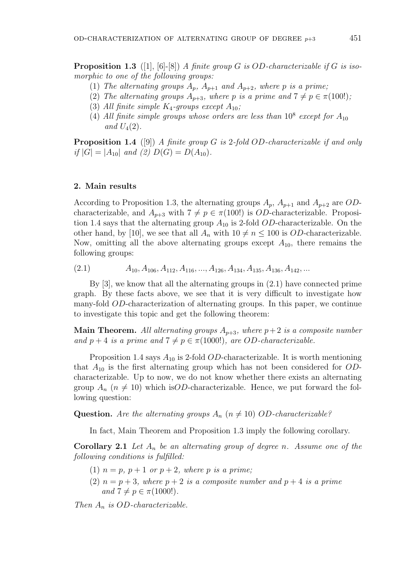- (1) The alternating groups  $A_p$ ,  $A_{p+1}$  and  $A_{p+2}$ , where p is a prime;
- (2) The alternating groups  $A_{p+3}$ , where p is a prime and  $7 \neq p \in \pi(100!)$ ;
- (3) All finite simple  $K_4$ -groups except  $A_{10}$ ;
- (4) All finite simple groups whose orders are less than  $10^8$  except for  $A_{10}$ and  $U_4(2)$ .

**Proposition 1.4** ([9]) A finite group G is 2-fold OD-characterizable if and only if  $|G| = |A_{10}|$  and (2)  $D(G) = D(A_{10})$ .

#### 2. Main results

According to Proposition 1.3, the alternating groups  $A_p$ ,  $A_{p+1}$  and  $A_{p+2}$  are ODcharacterizable, and  $A_{p+3}$  with  $7 \neq p \in \pi(100!)$  is *OD*-characterizable. Proposition 1.4 says that the alternating group  $A_{10}$  is 2-fold *OD*-characterizable. On the other hand, by [10], we see that all  $A_n$  with  $10 \neq n \leq 100$  is *OD*-characterizable. Now, omitting all the above alternating groups except  $A_{10}$ , there remains the following groups:

 $(A_{10}, A_{106}, A_{112}, A_{116}, \ldots, A_{126}, A_{134}, A_{135}, A_{136}, A_{142}, \ldots)$ 

By [3], we know that all the alternating groups in (2.1) have connected prime graph. By these facts above, we see that it is very difficult to investigate how many-fold OD-characterization of alternating groups. In this paper, we continue to investigate this topic and get the following theorem:

**Main Theorem.** All alternating groups  $A_{p+3}$ , where  $p+2$  is a composite number and  $p + 4$  is a prime and  $7 \neq p \in \pi(1000!)$ , are OD-characterizable.

Proposition 1.4 says  $A_{10}$  is 2-fold *OD*-characterizable. It is worth mentioning that  $A_{10}$  is the first alternating group which has not been considered for ODcharacterizable. Up to now, we do not know whether there exists an alternating group  $A_n$  ( $n \neq 10$ ) which isOD-characterizable. Hence, we put forward the following question:

**Question.** Are the alternating groups  $A_n$  ( $n \neq 10$ ) OD-characterizable?

In fact, Main Theorem and Proposition 1.3 imply the following corollary.

**Corollary 2.1** Let  $A_n$  be an alternating group of degree n. Assume one of the following conditions is fulfilled:

- (1)  $n = p$ ,  $p + 1$  or  $p + 2$ , where p is a prime;
- (2)  $n = p + 3$ , where  $p + 2$  is a composite number and  $p + 4$  is a prime and  $7 \neq p \in \pi(1000!)$ .

Then  $A_n$  is OD-characterizable.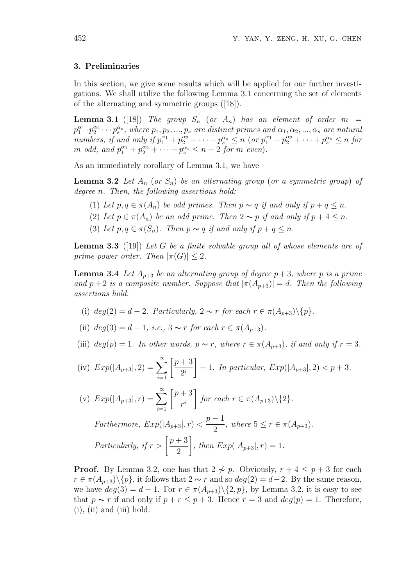#### 3. Preliminaries

In this section, we give some results which will be applied for our further investigations. We shall utilize the following Lemma 3.1 concerning the set of elements of the alternating and symmetric groups ([18]).

**Lemma 3.1** ([18]) The group  $S_n$  (or  $A_n$ ) has an element of order  $m =$  $p_1^{\alpha_1}\cdot p_2^{\alpha_2}\cdots p_s^{\alpha_s}$ , where  $p_1, p_2, ..., p_s$  are distinct primes and  $\alpha_1, \alpha_2, ..., \alpha_s$  are natural numbers, if and only if  $p_1^{\alpha_1} + p_2^{\alpha_2} + \cdots + p_s^{\alpha_s} \le n$  (or  $p_1^{\alpha_1} + p_2^{\alpha_2} + \cdots + p_s^{\alpha_s} \le n$  for m odd, and  $p_1^{\alpha_1} + p_2^{\alpha_2} + \cdots + p_s^{\alpha_s} \leq n-2$  for m even).

As an immediately corollary of Lemma 3.1, we have

**Lemma 3.2** Let  $A_n$  (or  $S_n$ ) be an alternating group (or a symmetric group) of degree *n*. Then, the following assertions hold:

- (1) Let  $p, q \in \pi(A_n)$  be odd primes. Then  $p \sim q$  if and only if  $p + q \leq n$ .
- (2) Let  $p \in \pi(A_n)$  be an odd prime. Then  $2 \sim p$  if and only if  $p + 4 \leq n$ .
- (3) Let  $p, q \in \pi(S_n)$ . Then  $p \sim q$  if and only if  $p + q \leq n$ .

**Lemma 3.3** ([19]) Let G be a finite solvable group all of whose elements are of prime power order. Then  $|\pi(G)| \leq 2$ .

**Lemma 3.4** Let  $A_{p+3}$  be an alternating group of degree  $p+3$ , where p is a prime and  $p+2$  is a composite number. Suppose that  $|\pi(A_{p+3})|=d$ . Then the following assertions hold.

- (i)  $deg(2) = d 2$ . Particularly,  $2 \sim r$  for each  $r \in \pi(A_{n+3})\backslash\{p\}$ .
- (ii)  $deg(3) = d 1$ , *i.e.*,  $3 \sim r$  for each  $r \in \pi(A_{n+3})$ .
- (iii)  $deg(p) = 1$ . In other words,  $p \sim r$ , where  $r \in \pi(A_{p+3})$ , if and only if  $r = 3$ .

(iv) 
$$
Exp(|A_{p+3}|, 2) = \sum_{i=1}^{\infty} \left[ \frac{p+3}{2^i} \right] - 1
$$
. In particular,  $Exp(|A_{p+3}|, 2) < p+3$ .

(v) 
$$
Exp(|A_{p+3}|, r) = \sum_{i=1}^{\infty} \left[ \frac{p+3}{r^i} \right]
$$
 for each  $r \in \pi(A_{p+3}) \setminus \{2\}.$ 

Furthermore, 
$$
Exp(|A_{p+3}|, r) < \frac{p-1}{2}
$$
, where  $5 \le r \in \pi(A_{p+3})$ .  
Particularly, if  $r > \left[\frac{p+3}{2}\right]$ , then  $Exp(|A_{p+3}|, r) = 1$ .

**Proof.** By Lemma 3.2, one has that  $2 \not\sim p$ . Obviously,  $r + 4 \leq p + 3$  for each  $r \in \pi(A_{p+3})\backslash\{p\}$ , it follows that  $2 \sim r$  and so  $deg(2) = d-2$ . By the same reason, we have  $deg(3) = d - 1$ . For  $r \in \pi(A_{p+3}) \setminus \{2, p\}$ , by Lemma 3.2, it is easy to see that  $p \sim r$  if and only if  $p + r \leq p + 3$ . Hence  $r = 3$  and  $deg(p) = 1$ . Therefore,  $(i)$ ,  $(ii)$  and  $(iii)$  hold.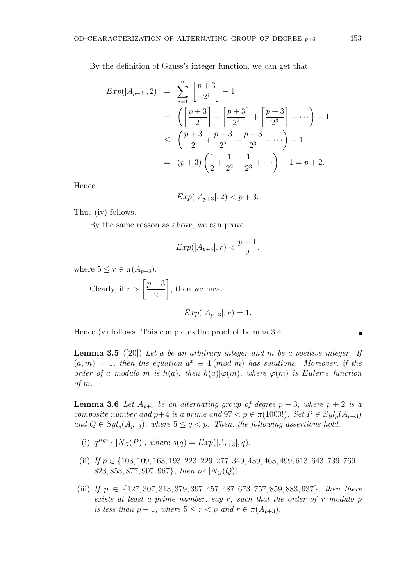By the definition of Gauss's integer function, we can get that

$$
Exp(|A_{p+3}|,2) = \sum_{i=1}^{\infty} \left[ \frac{p+3}{2^i} \right] - 1
$$
  
=  $\left( \left[ \frac{p+3}{2} \right] + \left[ \frac{p+3}{2^2} \right] + \left[ \frac{p+3}{2^3} \right] + \cdots \right) - 1$   
 $\leq \left( \frac{p+3}{2} + \frac{p+3}{2^2} + \frac{p+3}{2^3} + \cdots \right) - 1$   
=  $(p+3)\left( \frac{1}{2} + \frac{1}{2^2} + \frac{1}{2^3} + \cdots \right) - 1 = p+2.$ 

Hence

$$
Exp(|A_{p+3}|, 2) < p+3.
$$

Thus (iv) follows.

By the same reason as above, we can prove

$$
Exp(|A_{p+3}|,r) < \frac{p-1}{2},
$$

where  $5 \leq r \in \pi(A_{p+3})$ .

Clearly, if  $r > \lceil$  $p+3$ 2  $\overline{a}$ , then we have  $Exp(|A_{n+3}|, r) = 1.$ 

Hence (v) follows. This completes the proof of Lemma 3.4.

**Lemma 3.5** ([20]) Let a be an arbitrary integer and m be a positive integer. If  $(a, m) = 1$ , then the equation  $a^x \equiv 1 \pmod{m}$  has solutions. Moreover, if the order of a modulo m is  $h(a)$ , then  $h(a)|\varphi(m)$ , where  $\varphi(m)$  is Euler's function of m.

**Lemma 3.6** Let  $A_{p+3}$  be an alternating group of degree  $p+3$ , where  $p+2$  is a composite number and  $p+4$  is a prime and  $97 < p \in \pi(1000!)$ . Set  $P \in Syl_p(A_{p+3})$ and  $Q \in Syl_q(A_{p+3})$ , where  $5 \leq q < p$ . Then, the following assertions hold.

- (i)  $q^{s(q)} \nmid |N_G(P)|$ , where  $s(q) = Exp(|A_{p+3}|, q)$ .
- (ii) If  $p \in \{103, 109, 163, 193, 223, 229, 277, 349, 439, 463, 499, 613, 643, 739, 769,$ 823, 853, 877, 907, 967}, then  $p \nmid |N_G(Q)|$ .
- (iii) If  $p \in \{127, 307, 313, 379, 397, 457, 487, 673, 757, 859, 883, 937\}$ , then there exists at least a prime number, say r, such that the order of r modulo  $p$ is less than  $p-1$ , where  $5 \le r < p$  and  $r \in \pi(A_{p+3})$ .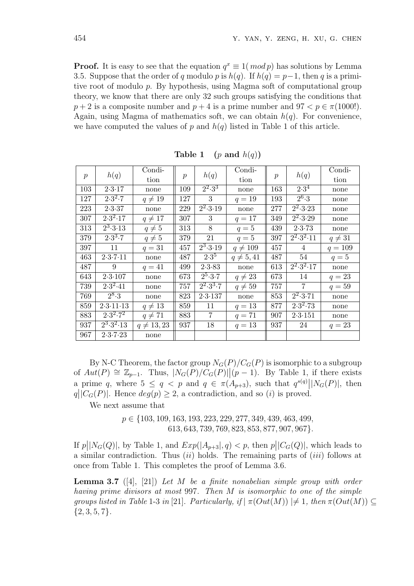**Proof.** It is easy to see that the equation  $q^x \equiv 1 \pmod{p}$  has solutions by Lemma 3.5. Suppose that the order of q modulo p is  $h(q)$ . If  $h(q) = p-1$ , then q is a primitive root of modulo p. By hypothesis, using Magma soft of computational group theory, we know that there are only 32 such groups satisfying the conditions that  $p + 2$  is a composite number and  $p + 4$  is a prime number and  $97 < p \in \pi(1000!)$ . Again, using Magma of mathematics soft, we can obtain  $h(q)$ . For convenience, we have computed the values of p and  $h(q)$  listed in Table 1 of this article.

| $\boldsymbol{p}$ | h(q)                              | Condi-          | $\boldsymbol{p}$ | h(q)                              | Condi-         | $\boldsymbol{p}$ | h(q)                                | Condi-      |
|------------------|-----------------------------------|-----------------|------------------|-----------------------------------|----------------|------------------|-------------------------------------|-------------|
|                  |                                   | tion            |                  |                                   | tion           |                  |                                     | tion        |
| 103              | 2.3.17                            | none            | 109              | $\overline{2^2 \cdot 3^3}$        | none           | 163              | $2.3^{4}$                           | none        |
| 127              | $2.3^{2.7}$                       | $q \neq 19$     | 127              | 3                                 | $q=19$         | 193              | $2^{6} \cdot 3$                     | none        |
| 223              | 2.3.37                            | none            | 229              | $\overline{2^2 \cdot 3 \cdot 19}$ | none           | 277              | $\overline{2^2 \cdot 3 \cdot 23}$   | none        |
| 307              | $2.3^{2}.17$                      | $q \neq 17$     | 307              | 3                                 | $q = 17$       | 349              | $\overline{2^2 \cdot 3 \cdot 29}$   | none        |
| 313              | $\overline{2^3 \cdot 3 \cdot 13}$ | $q \neq 5$      | 313              | 8                                 | $q=5$          | 439              | 2.3.73                              | none        |
| 379              | $2.3^{3.7}$                       | $q \neq 5$      | 379              | 21                                | $q=5$          | 397              | $\overline{2^2 \cdot 3^2 \cdot 11}$ | $q \neq 31$ |
| 397              | 11                                | $q=31$          | 457              | $\overline{2^3 \cdot 3 \cdot 19}$ | $q \neq 109$   | 457              | 4                                   | $q = 109$   |
| 463              | 2.3.7.11                          | none            | 487              | $2.3^{5}$                         | $q \neq 5, 41$ | 487              | 54                                  | $q=5$       |
| 487              | 9                                 | $q = 41$        | 499              | 2.3.83                            | none           | 613              | $2^2 \cdot 3^2 \cdot 17$            | none        |
| 643              | 2.3.107                           | none            | 673              | $2^5 \cdot 3 \cdot 7$             | $q \neq 23$    | 673              | 14                                  | $q = 23$    |
| 739              | $2.3^2.41$                        | none            | 757              | $2^2 \cdot 3^3 \cdot 7$           | $q \neq 59$    | 757              | $\overline{7}$                      | $q=59$      |
| 769              | $2^8 \cdot 3$                     | none            | 823              | 2.3.137                           | none           | 853              | $\overline{2^2 \cdot 3 \cdot 71}$   | none        |
| 859              | 2.3.11.13                         | $q \neq 13$     | 859              | 11                                | $q=13$         | 877              | $2.3^2.73$                          | none        |
| 883              | $2.3^2.7^2$                       | $q \neq 71$     | 883              | $\overline{7}$                    | $q = 71$       | 907              | 2.3.151                             | none        |
| 937              | $2^3 \cdot 3^2 \cdot 13$          | $q \neq 13, 23$ | 937              | 18                                | $q=13$         | 937              | 24                                  | $q = 23$    |
| 967              | 2.3.7.23                          | none            |                  |                                   |                |                  |                                     |             |

Table 1 (p and  $h(q)$ )

By N-C Theorem, the factor group  $N_G(P)/C_G(P)$  is isomorphic to a subgroup of  $Aut(P) \cong \mathbb{Z}_{p-1}$ . Thus,  $|N_G(P)/C_G(P)||(p-1)$ . By Table 1, if there exists a prime q, where  $5 \le q < p$  and  $q \in \pi(A_{p+3})$ , such that  $q^{s(q)}||N_G(P)|$ , then  $q\vert\vert C_G(P)\vert$ . Hence  $deg(p) \geq 2$ , a contradiction, and so (i) is proved.

We next assume that

p ∈ {103, 109, 163, 193, 223, 229, 277, 349, 439, 463, 499, 613, 643, 739, 769, 823, 853, 877, 907, 967}.

If p  $\left|\left|N_G(Q)\right|$ , by Table 1, and  $Exp(\left|A_{p+3}\right|, q) < p$ , then p  $\vert\vert C_G(Q)\vert$ , which leads to a similar contradiction. Thus  $(ii)$  holds. The remaining parts of  $(iii)$  follows at once from Table 1. This completes the proof of Lemma 3.6.

**Lemma 3.7** ([4], [21]) Let M be a finite nonabelian simple group with order having prime divisors at most 997. Then M is isomorphic to one of the simple groups listed in Table 1-3 in [21]. Particularly, if  $|\pi(Out(M))| \neq 1$ , then  $\pi(Out(M)) \subseteq$  $\{2, 3, 5, 7\}.$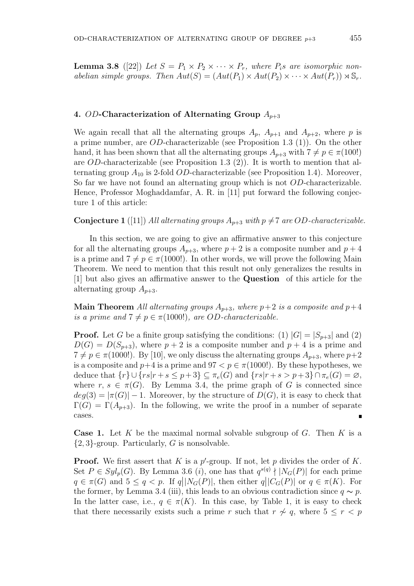**Lemma 3.8** ([22]) Let  $S = P_1 \times P_2 \times \cdots \times P_r$ , where  $P_i$ s are isomorphic nonabelian simple groups. Then  $Aut(S) = (Aut(P_1) \times Aut(P_2) \times \cdots \times Aut(P_r)) \rtimes \mathbb{S}_r$ .

## 4. OD-Characterization of Alternating Group  $A_{p+3}$

We again recall that all the alternating groups  $A_p$ ,  $A_{p+1}$  and  $A_{p+2}$ , where p is a prime number, are OD-characterizable (see Proposition 1.3 (1)). On the other hand, it has been shown that all the alternating groups  $A_{p+3}$  with  $7 \neq p \in \pi(100!)$ are OD-characterizable (see Proposition 1.3 (2)). It is worth to mention that alternating group  $A_{10}$  is 2-fold *OD*-characterizable (see Proposition 1.4). Moreover, So far we have not found an alternating group which is not OD-characterizable. Hence, Professor Moghaddamfar, A. R. in [11] put forward the following conjecture 1 of this article:

**Conjecture 1** ([11]) All alternating groups  $A_{p+3}$  with  $p \neq 7$  are OD-characterizable.

In this section, we are going to give an affirmative answer to this conjecture for all the alternating groups  $A_{p+3}$ , where  $p+2$  is a composite number and  $p+4$ is a prime and  $7 \neq p \in \pi(1000!)$ . In other words, we will prove the following Main Theorem. We need to mention that this result not only generalizes the results in [1] but also gives an affirmative answer to the Question of this article for the alternating group  $A_{p+3}$ .

**Main Theorem** All alternating groups  $A_{p+3}$ , where  $p+2$  is a composite and  $p+4$ is a prime and  $7 \neq p \in \pi(1000!)$ , are OD-characterizable.

**Proof.** Let G be a finite group satisfying the conditions: (1)  $|G| = |S_{p+3}|$  and (2)  $D(G) = D(S_{p+3})$ , where  $p+2$  is a composite number and  $p+4$  is a prime and  $7 \neq p \in \pi(1000!)$ . By [10], we only discuss the alternating groups  $A_{p+3}$ , where  $p+2$ is a composite and  $p+4$  is a prime and  $97 < p \in \pi(1000!)$ . By these hypotheses, we deduce that  $\{r\} \cup \{rs|r + s \leq p+3\} \subseteq \pi_e(G)$  and  $\{rs|r + s > p+3\} \cap \pi_e(G) = \varnothing$ , where  $r, s \in \pi(G)$ . By Lemma 3.4, the prime graph of G is connected since  $deg(3) = |\pi(G)| - 1$ . Moreover, by the structure of  $D(G)$ , it is easy to check that  $\Gamma(G) = \Gamma(A_{p+3})$ . In the following, we write the proof in a number of separate cases.

**Case 1.** Let K be the maximal normal solvable subgroup of G. Then K is a  $\{2,3\}$ -group. Particularly, G is nonsolvable.

**Proof.** We first assert that K is a  $p'$ -group. If not, let p divides the order of K. Set  $P \in Syl_p(G)$ . By Lemma 3.6 (*i*), one has that  $q^{s(q)} \nmid |N_G(P)|$  for each prime  $q \in \pi(G)$  and  $5 \le q < p$ . If  $q||N_G(P)|$ , then either  $q||C_G(P)|$  or  $q \in \pi(K)$ . For the former, by Lemma 3.4 (iii), this leads to an obvious contradiction since  $q \sim p$ . In the latter case, i.e.,  $q \in \pi(K)$ . In this case, by Table 1, it is easy to check that there necessarily exists such a prime r such that  $r \nsim q$ , where  $5 \le r < p$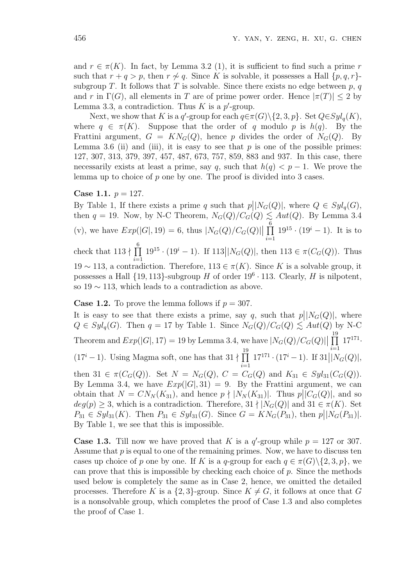and  $r \in \pi(K)$ . In fact, by Lemma 3.2 (1), it is sufficient to find such a prime r such that  $r + q > p$ , then  $r \nsim q$ . Since K is solvable, it possesses a Hall  $\{p, q, r\}$ subgroup T. It follows that T is solvable. Since there exists no edge between  $p, q$ and r in  $\Gamma(G)$ , all elements in T are of prime power order. Hence  $|\pi(T)| \leq 2$  by Lemma 3.3, a contradiction. Thus  $K$  is a  $p'$ -group.

Next, we show that K is a q'-group for each  $q \in \pi(G) \setminus \{2, 3, p\}$ . Set  $Q \in Syl_q(K)$ , where  $q \in \pi(K)$ . Suppose that the order of q modulo p is  $h(q)$ . By the Frattini argument,  $G = KN<sub>G</sub>(Q)$ , hence p divides the order of  $N<sub>G</sub>(Q)$ . By Lemma 3.6 (ii) and (iii), it is easy to see that  $p$  is one of the possible primes: 127, 307, 313, 379, 397, 457, 487, 673, 757, 859, 883 and 937. In this case, there necessarily exists at least a prime, say q, such that  $h(q) < p-1$ . We prove the lemma up to choice of p one by one. The proof is divided into 3 cases.

### Case 1.1.  $p = 127$ .

By Table 1, If there exists a prime  $q$  such that  $p$  $\big| |N_G(Q)|$ , where  $Q \in Syl_q(G)$ , then  $q = 19$ . Now, by N-C Theorem,  $N_G(Q)/C_G(Q) \lesssim Aut(Q)$ . By Lemma 3.4 (v), we have  $Exp(|G|, 19) = 6$ , thus  $|N_G(Q)/C_G(Q)|$  $\frac{6}{\sqrt{1}}$  $i=1$  $19^{15} \cdot (19^{i} - 1)$ . It is to check that  $113 \nmid$  $\frac{6}{11}$  $i=1$  $19^{15} \cdot (19^i - 1)$ . If 113  $\left| \left| N_G(Q) \right|$ , then  $113 \in \pi(C_G(Q))$ . Thus 19 ∼ 113, a contradiction. Therefore, 113 ∈ π(K). Since K is a solvable group, it possesses a Hall  $\{19, 113\}$ -subgroup H of order  $19^6 \cdot 113$ . Clearly, H is nilpotent, so  $19 \sim 113$ , which leads to a contradiction as above.

**Case 1.2.** To prove the lemma follows if  $p = 307$ .

It is easy to see that there exists a prime, say  $q$ , such that  $p$  $\big| |N_G(Q)|$ , where  $Q \in Syl_q(G)$ . Then  $q = 17$  by Table 1. Since  $N_G(Q)/C_G(Q) \lesssim Aut(Q)$  by N-C Theorem and  $Exp(|G|, 17) = 19$  by Lemma 3.4, we have  $|N_G(Q)/C_G(Q)|$  $\frac{19}{\prod}$  $i=1$  $17^{171}$  $(17<sup>i</sup> - 1)$ . Using Magma soft, one has that  $31 \nmid \prod_{i=1}^{19}$  $i=1$  $17^{171} \cdot (17^i - 1)$ . If 31  $\frac{i=1}{|N_G(Q)|},$ then 31  $\in \pi(C_G(Q))$ . Set  $N = N_G(Q)$ ,  $C = C_G(Q)$  and  $K_{31} \in Syl_{31}(C_G(Q))$ . By Lemma 3.4, we have  $Exp(|G|, 31) = 9$ . By the Frattini argument, we can obtain that  $N = CN_N(K_{31})$ , and hence  $p \nmid |N_N(K_{31})|$ . Thus  $p||C_G(Q)|$ , and so  $deg(p) \geq 3$ , which is a contradiction. Therefore,  $31 \nmid |N_G(Q)|$  and  $31 \in \pi(K)$ . Set  $P_{31} \in Syl_{31}(K)$ . Then  $P_{31} \in Syl_{31}(G)$ . Since  $G = KN_G(P_{31})$ , then  $p||N_G(P_{31})|$ . By Table 1, we see that this is impossible.

**Case 1.3.** Till now we have proved that K is a  $q'$ -group while  $p = 127$  or 307. Assume that  $p$  is equal to one of the remaining primes. Now, we have to discuss ten cases up choice of p one by one. If K is a q-group for each  $q \in \pi(G) \setminus \{2, 3, p\}$ , we can prove that this is impossible by checking each choice of p. Since the methods used below is completely the same as in Case 2, hence, we omitted the detailed processes. Therefore K is a  $\{2,3\}$ -group. Since  $K \neq G$ , it follows at once that G is a nonsolvable group, which completes the proof of Case 1.3 and also completes the proof of Case 1.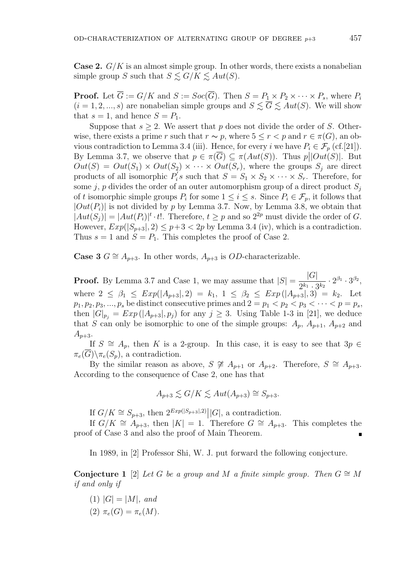**Case 2.**  $G/K$  is an almost simple group. In other words, there exists a nonabelian simple group S such that  $S \lesssim G/K \lesssim Aut(S)$ .

**Proof.** Let  $\overline{G} := G/K$  and  $S := Soc(\overline{G})$ . Then  $S = P_1 \times P_2 \times \cdots \times P_s$ , where  $P_i$  $(i = 1, 2, ..., s)$  are nonabelian simple groups and  $S \leq \overline{G} \leq Aut(S)$ . We will show that  $s = 1$ , and hence  $S = P_1$ .

Suppose that  $s \geq 2$ . We assert that p does not divide the order of S. Otherwise, there exists a prime r such that  $r \sim p$ , where  $5 \le r < p$  and  $r \in \pi(G)$ , an obvious contradiction to Lemma 3.4 (iii). Hence, for every i we have  $P_i \in \mathcal{F}_p$  (cf.[21]). By Lemma 3.7, we observe that  $p \in \pi(\overline{G}) \subseteq \pi(Aut(S))$ . Thus  $p||Out(S)|$ . But  $Out(S) = Out(S_1) \times Out(S_2) \times \cdots \times Out(S_r)$ , where the groups  $S_i$  are direct products of all isomorphic  $P_i'$  $S_i$ 's such that  $S = S_1 \times S_2 \times \cdots \times S_r$ . Therefore, for some j, p divides the order of an outer automorphism group of a direct product  $S_i$ of t isomorphic simple groups  $P_i$  for some  $1 \leq i \leq s$ . Since  $P_i \in \mathcal{F}_p$ , it follows that  $|Out(P_i)|$  is not divided by p by Lemma 3.7. Now, by Lemma 3.8, we obtain that  $|Aut(S_j)| = |Aut(P_i)|^t \cdot t!.$  Therefore,  $t \geq p$  and so  $2^{2p}$  must divide the order of G. However,  $Exp(|S_{p+3}|, 2) \leq p+3 < 2p$  by Lemma 3.4 (iv), which is a contradiction. Thus  $s = 1$  and  $S = P_1$ . This completes the proof of Case 2.

Case 3  $G \cong A_{p+3}$ . In other words,  $A_{p+3}$  is *OD*-characterizable.

**Proof.** By Lemma 3.7 and Case 1, we may assume that  $|S|$  =  $|G|$  $\frac{|\mathbf{G}|}{2^{k_1} \cdot 3^{k_2}} \cdot 2^{\beta_1} \cdot 3^{\beta_2},$ where  $2 \leq \beta_1 \leq Exp(|A_{p+3}|, 2) = k_1, 1 \leq \beta_2 \leq Exp(|A_{p+3}|, 3) = k_2.$  Let  $p_1, p_2, p_3, \ldots, p_s$  be distinct consecutive primes and  $2 = p_1 < p_2 < p_3 < \cdots < p = p_s$ , then  $|G|_{p_j} = Exp(|A_{p+3}|, p_j)$  for any  $j \geq 3$ . Using Table 1-3 in [21], we deduce that S can only be isomorphic to one of the simple groups:  $A_p$ ,  $A_{p+1}$ ,  $A_{p+2}$  and  $A_{p+3}$ .

If  $S \cong A_p$ , then K is a 2-group. In this case, it is easy to see that  $3p \in$  $\pi_e(\overline{G})\backslash \pi_e(S_n)$ , a contradiction.

By the similar reason as above,  $S \not\cong A_{p+1}$  or  $A_{p+2}$ . Therefore,  $S \cong A_{p+3}$ . According to the consequence of Case 2, one has that

$$
A_{p+3} \lesssim G/K \lesssim Aut(A_{p+3}) \cong S_{p+3}.
$$

If  $G/K \cong S_{p+3}$ , then  $2^{Exp(|S_{p+3}|,2)}||G|$ , a contradiction.

If  $G/K \cong A_{p+3}$ , then  $|K| = 1$ . Therefore  $G \cong A_{p+3}$ . This completes the proof of Case 3 and also the proof of Main Theorem.

In 1989, in [2] Professor Shi, W. J. put forward the following conjecture.

Conjecture 1 [2] Let G be a group and M a finite simple group. Then  $G \cong M$ if and only if

- (1)  $|G| = |M|$ , and
- (2)  $\pi_e(G) = \pi_e(M)$ .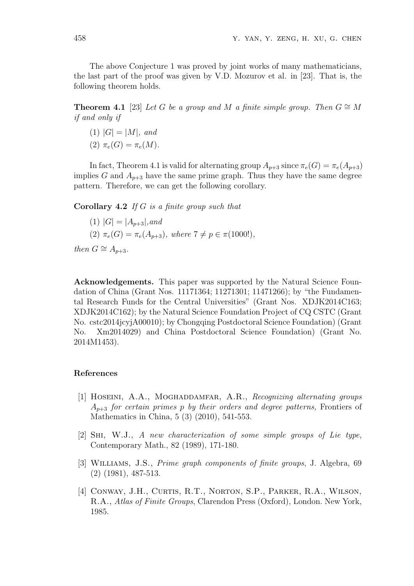The above Conjecture 1 was proved by joint works of many mathematicians, the last part of the proof was given by V.D. Mozurov et al. in [23]. That is, the following theorem holds.

**Theorem 4.1** [23] Let G be a group and M a finite simple group. Then  $G \cong M$ if and only if

- (1)  $|G| = |M|$ , and
- (2)  $\pi_e(G) = \pi_e(M)$ .

In fact, Theorem 4.1 is valid for alternating group  $A_{p+3}$  since  $\pi_e(G) = \pi_e(A_{p+3})$ implies G and  $A_{p+3}$  have the same prime graph. Thus they have the same degree pattern. Therefore, we can get the following corollary.

Corollary 4.2 If G is a finite group such that

(1) 
$$
|G| = |A_{p+3}|
$$
, and  
(2)  $\pi_e(G) = \pi_e(A_{p+3})$ , where  $7 \neq p \in \pi(1000!)$ ,

then  $G \cong A_{p+3}$ .

Acknowledgements. This paper was supported by the Natural Science Foundation of China (Grant Nos. 11171364; 11271301; 11471266); by "the Fundamental Research Funds for the Central Universities" (Grant Nos. XDJK2014C163; XDJK2014C162); by the Natural Science Foundation Project of CQ CSTC (Grant No. cstc2014jcyjA00010); by Chongqing Postdoctoral Science Foundation) (Grant No. Xm2014029) and China Postdoctoral Science Foundation) (Grant No. 2014M1453).

#### References

- [1] HOSEINI, A.A., MOGHADDAMFAR, A.R., Recognizing alternating groups  $A_{n+3}$  for certain primes p by their orders and degree patterns, Frontiers of Mathematics in China, 5 (3) (2010), 541-553.
- [2] Shi, W.J., A new characterization of some simple groups of Lie type, Contemporary Math., 82 (1989), 171-180.
- [3] Williams, J.S., Prime graph components of finite groups, J. Algebra, 69 (2) (1981), 487-513.
- [4] CONWAY, J.H., CURTIS, R.T., NORTON, S.P., PARKER, R.A., WILSON, R.A., Atlas of Finite Groups, Clarendon Press (Oxford), London. New York, 1985.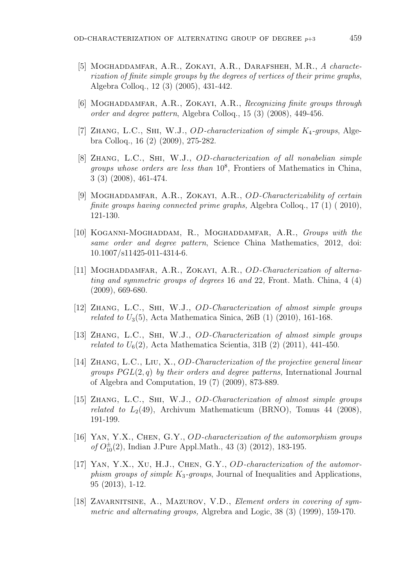- [5] Moghaddamfar, A.R., Zokayi, A.R., Darafsheh, M.R., A characterization of finite simple groups by the degrees of vertices of their prime graphs, Algebra Colloq., 12 (3) (2005), 431-442.
- [6] MOGHADDAMFAR, A.R., ZOKAYI, A.R., Recognizing finite groups through order and degree pattern, Algebra Colloq., 15 (3) (2008), 449-456.
- [7] ZHANG, L.C., SHI, W.J.,  $OD-characterization$  of simple  $K_4$ -groups, Algebra Colloq., 16 (2) (2009), 275-282.
- [8] Zhang, L.C., Shi, W.J., OD-characterization of all nonabelian simple groups whose orders are less than  $10^8$ , Frontiers of Mathematics in China, 3 (3) (2008), 461-474.
- [9] MOGHADDAMFAR, A.R., ZOKAYI, A.R., *OD-Characterizability of certain* finite groups having connected prime graphs, Algebra Colloq.,  $17(1)(2010)$ , 121-130.
- [10] KOGANNI-MOGHADDAM, R., MOGHADDAMFAR, A.R., Groups with the same order and degree pattern, Science China Mathematics, 2012, doi: 10.1007/s11425-011-4314-6.
- [11] MOGHADDAMFAR, A.R., ZOKAYI, A.R., OD-Characterization of alternating and symmetric groups of degrees 16 and 22, Front. Math. China, 4 (4) (2009), 669-680.
- [12] Zhang, L.C., Shi, W.J., OD-Characterization of almost simple groups *related to U*<sub>3</sub>(5), Acta Mathematica Sinica, 26B (1) (2010), 161-168.
- [13] Zhang, L.C., Shi, W.J., OD-Characterization of almost simple groups *related to*  $U_6(2)$ , Acta Mathematica Scientia, 31B (2) (2011), 441-450.
- [14] Zhang, L.C., Liu, X., OD-Characterization of the projective general linear groups  $PGL(2,q)$  by their orders and degree patterns, International Journal of Algebra and Computation, 19 (7) (2009), 873-889.
- [15] Zhang, L.C., Shi, W.J., OD-Characterization of almost simple groups related to  $L_2(49)$ , Archivum Mathematicum (BRNO), Tomus 44 (2008), 191-199.
- [16] YAN, Y.X., CHEN, G.Y., OD-characterization of the automorphism groups of  $O_{10}^{\pm}(2)$ , Indian J.Pure Appl.Math., 43 (3) (2012), 183-195.
- [17] YAN, Y.X., XU, H.J., CHEN, G.Y., OD-characterization of the automorphism groups of simple  $K_3$ -groups, Journal of Inequalities and Applications, 95 (2013), 1-12.
- [18] Zavarnitsine, A., Mazurov, V.D., Element orders in covering of symmetric and alternating groups, Algrebra and Logic, 38 (3) (1999), 159-170.